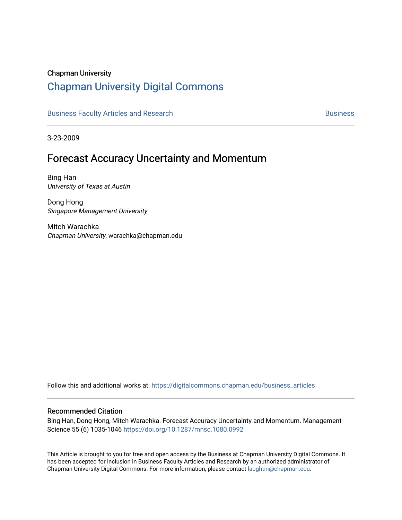### Chapman University

# [Chapman University Digital Commons](https://digitalcommons.chapman.edu/)

[Business Faculty Articles and Research](https://digitalcommons.chapman.edu/business_articles) **Business** [Business](https://digitalcommons.chapman.edu/business) **Business** 

3-23-2009

# Forecast Accuracy Uncertainty and Momentum

Bing Han University of Texas at Austin

Dong Hong Singapore Management University

Mitch Warachka Chapman University, warachka@chapman.edu

Follow this and additional works at: [https://digitalcommons.chapman.edu/business\\_articles](https://digitalcommons.chapman.edu/business_articles?utm_source=digitalcommons.chapman.edu%2Fbusiness_articles%2F119&utm_medium=PDF&utm_campaign=PDFCoverPages) 

#### Recommended Citation

Bing Han, Dong Hong, Mitch Warachka. Forecast Accuracy Uncertainty and Momentum. Management Science 55 (6) 1035-1046<https://doi.org/10.1287/mnsc.1080.0992>

This Article is brought to you for free and open access by the Business at Chapman University Digital Commons. It has been accepted for inclusion in Business Faculty Articles and Research by an authorized administrator of Chapman University Digital Commons. For more information, please contact [laughtin@chapman.edu](mailto:laughtin@chapman.edu).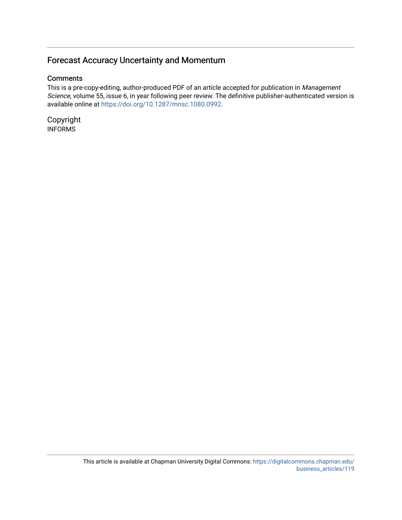## Forecast Accuracy Uncertainty and Momentum

### **Comments**

This is a pre-copy-editing, author-produced PDF of an article accepted for publication in Management Science, volume 55, issue 6, in year following peer review. The definitive publisher-authenticated version is available online at<https://doi.org/10.1287/mnsc.1080.0992>.

Copyright INFORMS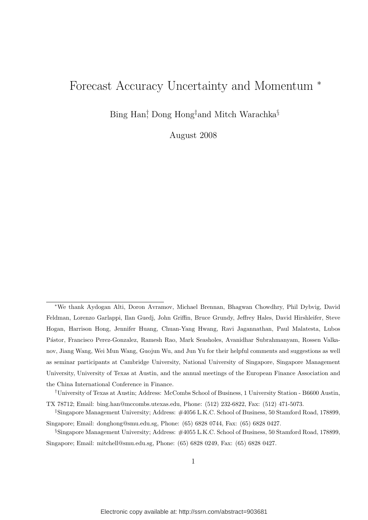# Forecast Accuracy Uncertainty and Momentum <sup>∗</sup>

Bing Han† , Dong Hong‡and Mitch Warachka§

August 2008

<sup>∗</sup>We thank Aydogan Alti, Doron Avramov, Michael Brennan, Bhagwan Chowdhry, Phil Dybvig, David Feldman, Lorenzo Garlappi, Ilan Guedj, John Griffin, Bruce Grundy, Jeffrey Hales, David Hirshleifer, Steve Hogan, Harrison Hong, Jennifer Huang, Chuan-Yang Hwang, Ravi Jagannathan, Paul Malatesta, Lubos P´astor, Francisco Perez-Gonzalez, Ramesh Rao, Mark Seasholes, Avanidhar Subrahmanyam, Rossen Valkanov, Jiang Wang, Wei Mun Wang, Guojun Wu, and Jun Yu for their helpful comments and suggestions as well as seminar participants at Cambridge University, National University of Singapore, Singapore Management University, University of Texas at Austin, and the annual meetings of the European Finance Association and the China International Conference in Finance.

<sup>†</sup>University of Texas at Austin; Address: McCombs School of Business, 1 University Station - B6600 Austin, TX 78712; Email: bing.han@mccombs.utexas.edu, Phone: (512) 232-6822, Fax: (512) 471-5073.

<sup>‡</sup>Singapore Management University; Address: #4056 L.K.C. School of Business, 50 Stamford Road, 178899, Singapore; Email: donghong@smu.edu.sg, Phone: (65) 6828 0744, Fax: (65) 6828 0427.

<sup>§</sup>Singapore Management University; Address: #4055 L.K.C. School of Business, 50 Stamford Road, 178899, Singapore; Email: mitchell@smu.edu.sg, Phone: (65) 6828 0249, Fax: (65) 6828 0427.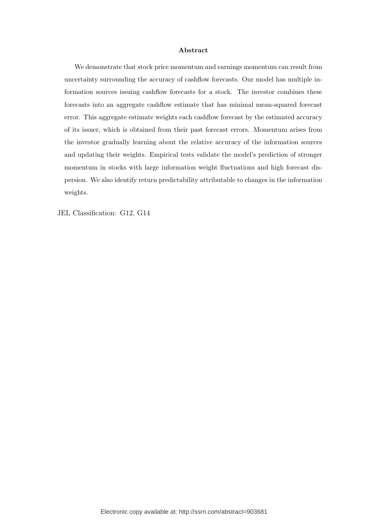#### Abstract

We demonstrate that stock price momentum and earnings momentum can result from uncertainty surrounding the accuracy of cashflow forecasts. Our model has multiple information sources issuing cashflow forecasts for a stock. The investor combines these forecasts into an aggregate cashflow estimate that has minimal mean-squared forecast error. This aggregate estimate weights each cashflow forecast by the estimated accuracy of its issuer, which is obtained from their past forecast errors. Momentum arises from the investor gradually learning about the relative accuracy of the information sources and updating their weights. Empirical tests validate the model's prediction of stronger momentum in stocks with large information weight fluctuations and high forecast dispersion. We also identify return predictability attributable to changes in the information weights.

JEL Classification: G12, G14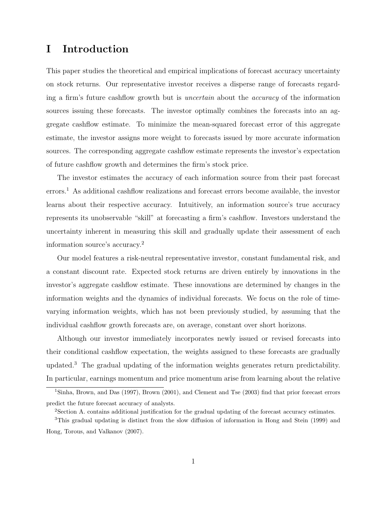# I Introduction

This paper studies the theoretical and empirical implications of forecast accuracy uncertainty on stock returns. Our representative investor receives a disperse range of forecasts regarding a firm's future cashflow growth but is uncertain about the accuracy of the information sources issuing these forecasts. The investor optimally combines the forecasts into an aggregate cashflow estimate. To minimize the mean-squared forecast error of this aggregate estimate, the investor assigns more weight to forecasts issued by more accurate information sources. The corresponding aggregate cashflow estimate represents the investor's expectation of future cashflow growth and determines the firm's stock price.

The investor estimates the accuracy of each information source from their past forecast errors.<sup>1</sup> As additional cashflow realizations and forecast errors become available, the investor learns about their respective accuracy. Intuitively, an information source's true accuracy represents its unobservable "skill" at forecasting a firm's cashflow. Investors understand the uncertainty inherent in measuring this skill and gradually update their assessment of each information source's accuracy.<sup>2</sup>

Our model features a risk-neutral representative investor, constant fundamental risk, and a constant discount rate. Expected stock returns are driven entirely by innovations in the investor's aggregate cashflow estimate. These innovations are determined by changes in the information weights and the dynamics of individual forecasts. We focus on the role of timevarying information weights, which has not been previously studied, by assuming that the individual cashflow growth forecasts are, on average, constant over short horizons.

Although our investor immediately incorporates newly issued or revised forecasts into their conditional cashflow expectation, the weights assigned to these forecasts are gradually updated.<sup>3</sup> The gradual updating of the information weights generates return predictability. In particular, earnings momentum and price momentum arise from learning about the relative

<sup>1</sup>Sinha, Brown, and Das (1997), Brown (2001), and Clement and Tse (2003) find that prior forecast errors predict the future forecast accuracy of analysts.

<sup>2</sup>Section A. contains additional justification for the gradual updating of the forecast accuracy estimates.

<sup>3</sup>This gradual updating is distinct from the slow diffusion of information in Hong and Stein (1999) and Hong, Torous, and Valkanov (2007).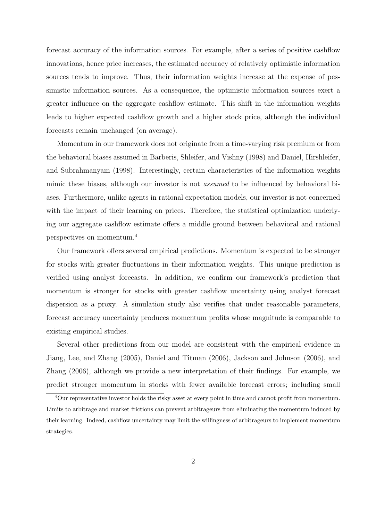forecast accuracy of the information sources. For example, after a series of positive cashflow innovations, hence price increases, the estimated accuracy of relatively optimistic information sources tends to improve. Thus, their information weights increase at the expense of pessimistic information sources. As a consequence, the optimistic information sources exert a greater influence on the aggregate cashflow estimate. This shift in the information weights leads to higher expected cashflow growth and a higher stock price, although the individual forecasts remain unchanged (on average).

Momentum in our framework does not originate from a time-varying risk premium or from the behavioral biases assumed in Barberis, Shleifer, and Vishny (1998) and Daniel, Hirshleifer, and Subrahmanyam (1998). Interestingly, certain characteristics of the information weights mimic these biases, although our investor is not assumed to be influenced by behavioral biases. Furthermore, unlike agents in rational expectation models, our investor is not concerned with the impact of their learning on prices. Therefore, the statistical optimization underlying our aggregate cashflow estimate offers a middle ground between behavioral and rational perspectives on momentum.<sup>4</sup>

Our framework offers several empirical predictions. Momentum is expected to be stronger for stocks with greater fluctuations in their information weights. This unique prediction is verified using analyst forecasts. In addition, we confirm our framework's prediction that momentum is stronger for stocks with greater cashflow uncertainty using analyst forecast dispersion as a proxy. A simulation study also verifies that under reasonable parameters, forecast accuracy uncertainty produces momentum profits whose magnitude is comparable to existing empirical studies.

Several other predictions from our model are consistent with the empirical evidence in Jiang, Lee, and Zhang (2005), Daniel and Titman (2006), Jackson and Johnson (2006), and Zhang (2006), although we provide a new interpretation of their findings. For example, we predict stronger momentum in stocks with fewer available forecast errors; including small

<sup>4</sup>Our representative investor holds the risky asset at every point in time and cannot profit from momentum. Limits to arbitrage and market frictions can prevent arbitrageurs from eliminating the momentum induced by their learning. Indeed, cashflow uncertainty may limit the willingness of arbitrageurs to implement momentum strategies.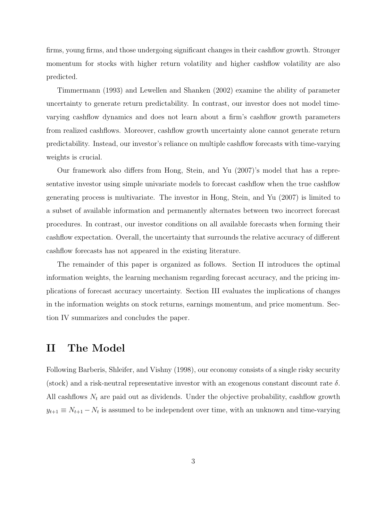firms, young firms, and those undergoing significant changes in their cashflow growth. Stronger momentum for stocks with higher return volatility and higher cashflow volatility are also predicted.

Timmermann (1993) and Lewellen and Shanken (2002) examine the ability of parameter uncertainty to generate return predictability. In contrast, our investor does not model timevarying cashflow dynamics and does not learn about a firm's cashflow growth parameters from realized cashflows. Moreover, cashflow growth uncertainty alone cannot generate return predictability. Instead, our investor's reliance on multiple cashflow forecasts with time-varying weights is crucial.

Our framework also differs from Hong, Stein, and Yu (2007)'s model that has a representative investor using simple univariate models to forecast cashflow when the true cashflow generating process is multivariate. The investor in Hong, Stein, and Yu (2007) is limited to a subset of available information and permanently alternates between two incorrect forecast procedures. In contrast, our investor conditions on all available forecasts when forming their cashflow expectation. Overall, the uncertainty that surrounds the relative accuracy of different cashflow forecasts has not appeared in the existing literature.

The remainder of this paper is organized as follows. Section II introduces the optimal information weights, the learning mechanism regarding forecast accuracy, and the pricing implications of forecast accuracy uncertainty. Section III evaluates the implications of changes in the information weights on stock returns, earnings momentum, and price momentum. Section IV summarizes and concludes the paper.

### II The Model

Following Barberis, Shleifer, and Vishny (1998), our economy consists of a single risky security (stock) and a risk-neutral representative investor with an exogenous constant discount rate  $\delta$ . All cashflows  $N_t$  are paid out as dividends. Under the objective probability, cashflow growth  $y_{t+1} \equiv N_{t+1} - N_t$  is assumed to be independent over time, with an unknown and time-varying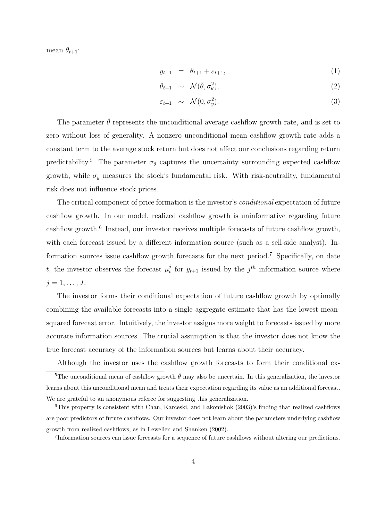mean  $\theta_{t+1}$ :

$$
y_{t+1} = \theta_{t+1} + \varepsilon_{t+1}, \tag{1}
$$

$$
\theta_{t+1} \sim \mathcal{N}(\bar{\theta}, \sigma_{\theta}^2), \tag{2}
$$

$$
\varepsilon_{t+1} \sim \mathcal{N}(0, \sigma_y^2). \tag{3}
$$

The parameter  $\bar{\theta}$  represents the unconditional average cashflow growth rate, and is set to zero without loss of generality. A nonzero unconditional mean cashflow growth rate adds a constant term to the average stock return but does not affect our conclusions regarding return predictability.<sup>5</sup> The parameter  $\sigma_{\theta}$  captures the uncertainty surrounding expected cashflow growth, while  $\sigma_y$  measures the stock's fundamental risk. With risk-neutrality, fundamental risk does not influence stock prices.

The critical component of price formation is the investor's *conditional* expectation of future cashflow growth. In our model, realized cashflow growth is uninformative regarding future cashflow growth.<sup>6</sup> Instead, our investor receives multiple forecasts of future cashflow growth, with each forecast issued by a different information source (such as a sell-side analyst). Information sources issue cashflow growth forecasts for the next period.<sup>7</sup> Specifically, on date t, the investor observes the forecast  $\mu_t^j$  $t_t^j$  for  $y_{t+1}$  issued by the  $j^{th}$  information source where  $j=1,\ldots,J$ .

The investor forms their conditional expectation of future cashflow growth by optimally combining the available forecasts into a single aggregate estimate that has the lowest meansquared forecast error. Intuitively, the investor assigns more weight to forecasts issued by more accurate information sources. The crucial assumption is that the investor does not know the true forecast accuracy of the information sources but learns about their accuracy.

Although the investor uses the cashflow growth forecasts to form their conditional ex-<sup>5</sup>The unconditional mean of cashflow growth  $\bar{\theta}$  may also be uncertain. In this generalization, the investor learns about this unconditional mean and treats their expectation regarding its value as an additional forecast. We are grateful to an anonymous referee for suggesting this generalization.

<sup>7</sup>Information sources can issue forecasts for a sequence of future cashflows without altering our predictions.

<sup>6</sup>This property is consistent with Chan, Karceski, and Lakonishok (2003)'s finding that realized cashflows are poor predictors of future cashflows. Our investor does not learn about the parameters underlying cashflow growth from realized cashflows, as in Lewellen and Shanken (2002).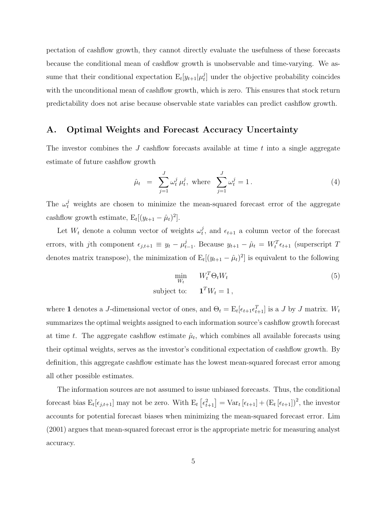pectation of cashflow growth, they cannot directly evaluate the usefulness of these forecasts because the conditional mean of cashflow growth is unobservable and time-varying. We assume that their conditional expectation  $E_t[y_{t+1}|\mu_t^j]$  $t<sub>t</sub><sup>j</sup>$  under the objective probability coincides with the unconditional mean of cashflow growth, which is zero. This ensures that stock return predictability does not arise because observable state variables can predict cashflow growth.

### A. Optimal Weights and Forecast Accuracy Uncertainty

The investor combines the  $J$  cashflow forecasts available at time  $t$  into a single aggregate estimate of future cashflow growth

$$
\hat{\mu}_t = \sum_{j=1}^J \omega_t^j \mu_t^j, \text{ where } \sum_{j=1}^J \omega_t^j = 1. \tag{4}
$$

The  $\omega_t^j$  weights are chosen to minimize the mean-squared forecast error of the aggregate cashflow growth estimate,  $E_t[(y_{t+1} - \hat{\mu}_t)^2]$ .

Let  $W_t$  denote a column vector of weights  $\omega_t^j$  $t<sub>t</sub>$ , and  $\epsilon_{t+1}$  a column vector of the forecast errors, with jth component  $\epsilon_{j,t+1} \equiv y_t - \mu_t^j$  $t_{t-1}$ . Because  $y_{t+1} - \hat{\mu}_t = W_t^T \epsilon_{t+1}$  (superscript T denotes matrix transpose), the minimization of  $E_t[(y_{t+1} - \hat{\mu}_t)^2]$  is equivalent to the following

$$
\min_{W_t} \qquad W_t^T \Theta_t W_t \tag{5}
$$
\n
$$
\text{subject to:} \qquad \mathbf{1}^T W_t = 1 \,,
$$

where 1 denotes a J-dimensional vector of ones, and  $\Theta_t = \mathbb{E}_t[\epsilon_{t+1}\epsilon_{t+1}^T]$  is a J by J matrix.  $W_t$ summarizes the optimal weights assigned to each information source's cashflow growth forecast at time t. The aggregate cashflow estimate  $\hat{\mu}_t$ , which combines all available forecasts using their optimal weights, serves as the investor's conditional expectation of cashflow growth. By definition, this aggregate cashflow estimate has the lowest mean-squared forecast error among all other possible estimates.

The information sources are not assumed to issue unbiased forecasts. Thus, the conditional forecast bias  $E_t[\epsilon_{j,t+1}]$  may not be zero. With  $E_t$ £  $\epsilon_{t+1}^2$  = Var<sub>t</sub>  $[\epsilon_{t+1}] + (\mathbf{E}_t [\epsilon_{t+1}])^2$ , the investor accounts for potential forecast biases when minimizing the mean-squared forecast error. Lim (2001) argues that mean-squared forecast error is the appropriate metric for measuring analyst accuracy.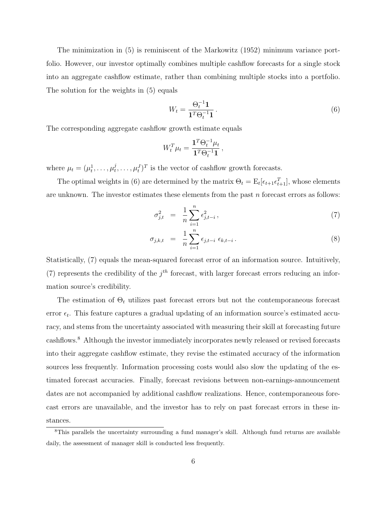The minimization in (5) is reminiscent of the Markowitz (1952) minimum variance portfolio. However, our investor optimally combines multiple cashflow forecasts for a single stock into an aggregate cashflow estimate, rather than combining multiple stocks into a portfolio. The solution for the weights in (5) equals

$$
W_t = \frac{\Theta_t^{-1} \mathbf{1}}{\mathbf{1}^T \Theta_t^{-1} \mathbf{1}}.
$$
\n
$$
(6)
$$

The corresponding aggregate cashflow growth estimate equals

$$
W_t^T \mu_t = \frac{\mathbf{1}^T \Theta_t^{-1} \mu_t}{\mathbf{1}^T \Theta_t^{-1} \mathbf{1}},
$$

where  $\mu_t = (\mu_t^1, \dots, \mu_t^j)$  $(t<sub>t</sub>,..., \mu<sub>t</sub><sup>j</sup>)<sup>T</sup>$  is the vector of cashflow growth forecasts.

The optimal weights in (6) are determined by the matrix  $\Theta_t = \mathbb{E}_t[\epsilon_{t+1}\epsilon_{t+1}^T]$ , whose elements are unknown. The investor estimates these elements from the past  $n$  forecast errors as follows:

$$
\sigma_{j,t}^2 = \frac{1}{n} \sum_{i=1}^n \epsilon_{j,t-i}^2, \qquad (7)
$$

$$
\sigma_{j,k,t} = \frac{1}{n} \sum_{i=1}^{n} \epsilon_{j,t-i} \epsilon_{k,t-i} . \tag{8}
$$

Statistically, (7) equals the mean-squared forecast error of an information source. Intuitively, (7) represents the credibility of the  $j<sup>th</sup>$  forecast, with larger forecast errors reducing an information source's credibility.

The estimation of  $\Theta_t$  utilizes past forecast errors but not the contemporaneous forecast error  $\epsilon_t$ . This feature captures a gradual updating of an information source's estimated accuracy, and stems from the uncertainty associated with measuring their skill at forecasting future cashflows.<sup>8</sup> Although the investor immediately incorporates newly released or revised forecasts into their aggregate cashflow estimate, they revise the estimated accuracy of the information sources less frequently. Information processing costs would also slow the updating of the estimated forecast accuracies. Finally, forecast revisions between non-earnings-announcement dates are not accompanied by additional cashflow realizations. Hence, contemporaneous forecast errors are unavailable, and the investor has to rely on past forecast errors in these instances.

<sup>8</sup>This parallels the uncertainty surrounding a fund manager's skill. Although fund returns are available daily, the assessment of manager skill is conducted less frequently.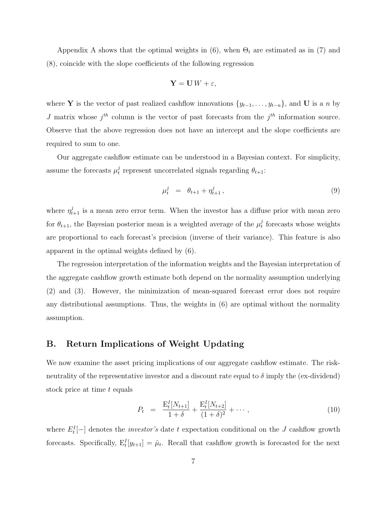Appendix A shows that the optimal weights in (6), when  $\Theta_t$  are estimated as in (7) and (8), coincide with the slope coefficients of the following regression

$$
\mathbf{Y} = \mathbf{U} W + \varepsilon,
$$

where Y is the vector of past realized cashflow innovations  $\{y_{t-1}, \ldots, y_{t-n}\}$ , and U is a n by J matrix whose  $j^{th}$  column is the vector of past forecasts from the  $j^{th}$  information source. Observe that the above regression does not have an intercept and the slope coefficients are required to sum to one.

Our aggregate cashflow estimate can be understood in a Bayesian context. For simplicity, assume the forecasts  $\mu_t^j$ <sup>f</sup> represent uncorrelated signals regarding  $\theta_{t+1}$ :

$$
\mu_t^j = \theta_{t+1} + \eta_{t+1}^j, \tag{9}
$$

where  $\eta_{t+1}^j$  is a mean zero error term. When the investor has a diffuse prior with mean zero for  $\theta_{t+1}$ , the Bayesian posterior mean is a weighted average of the  $\mu_t^j$  $t$ <sup>t</sup> forecasts whose weights are proportional to each forecast's precision (inverse of their variance). This feature is also apparent in the optimal weights defined by (6).

The regression interpretation of the information weights and the Bayesian interpretation of the aggregate cashflow growth estimate both depend on the normality assumption underlying (2) and (3). However, the minimization of mean-squared forecast error does not require any distributional assumptions. Thus, the weights in (6) are optimal without the normality assumption.

### B. Return Implications of Weight Updating

We now examine the asset pricing implications of our aggregate cashflow estimate. The riskneutrality of the representative investor and a discount rate equal to  $\delta$  imply the (ex-dividend) stock price at time t equals

$$
P_t = \frac{\mathbf{E}_t^I[N_{t+1}]}{1+\delta} + \frac{\mathbf{E}_t^I[N_{t+2}]}{(1+\delta)^2} + \cdots, \qquad (10)
$$

where  $E_t^I[-]$  denotes the *investor's* date t expectation conditional on the J cashflow growth forecasts. Specifically,  $E_t^I[y_{t+1}] = \hat{\mu}_t$ . Recall that cashflow growth is forecasted for the next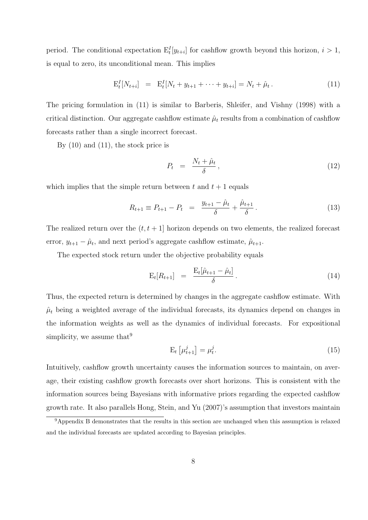period. The conditional expectation  $E_t^I[y_{t+i}]$  for cashflow growth beyond this horizon,  $i > 1$ , is equal to zero, its unconditional mean. This implies

$$
\mathbf{E}_t^I[N_{t+i}] = \mathbf{E}_t^I[N_t + y_{t+1} + \dots + y_{t+i}] = N_t + \hat{\mu}_t.
$$
\n(11)

The pricing formulation in (11) is similar to Barberis, Shleifer, and Vishny (1998) with a critical distinction. Our aggregate cashflow estimate  $\hat{\mu}_t$  results from a combination of cashflow forecasts rather than a single incorrect forecast.

By  $(10)$  and  $(11)$ , the stock price is

$$
P_t = \frac{N_t + \hat{\mu}_t}{\delta}, \tag{12}
$$

which implies that the simple return between t and  $t + 1$  equals

$$
R_{t+1} \equiv P_{t+1} - P_t = \frac{y_{t+1} - \hat{\mu}_t}{\delta} + \frac{\hat{\mu}_{t+1}}{\delta}.
$$
 (13)

The realized return over the  $(t, t + 1]$  horizon depends on two elements, the realized forecast error,  $y_{t+1} - \hat{\mu}_t$ , and next period's aggregate cashflow estimate,  $\hat{\mu}_{t+1}$ .

The expected stock return under the objective probability equals

$$
\mathbf{E}_t[R_{t+1}] = \frac{\mathbf{E}_t[\hat{\mu}_{t+1} - \hat{\mu}_t]}{\delta}.
$$
\n(14)

Thus, the expected return is determined by changes in the aggregate cashflow estimate. With  $\hat{\mu}_t$  being a weighted average of the individual forecasts, its dynamics depend on changes in the information weights as well as the dynamics of individual forecasts. For expositional simplicity, we assume that  $9$ 

$$
\mathbf{E}_{t}\left[\mu_{t+1}^{j}\right] = \mu_{t}^{j}.\tag{15}
$$

Intuitively, cashflow growth uncertainty causes the information sources to maintain, on average, their existing cashflow growth forecasts over short horizons. This is consistent with the information sources being Bayesians with informative priors regarding the expected cashflow growth rate. It also parallels Hong, Stein, and Yu (2007)'s assumption that investors maintain

<sup>&</sup>lt;sup>9</sup>Appendix B demonstrates that the results in this section are unchanged when this assumption is relaxed and the individual forecasts are updated according to Bayesian principles.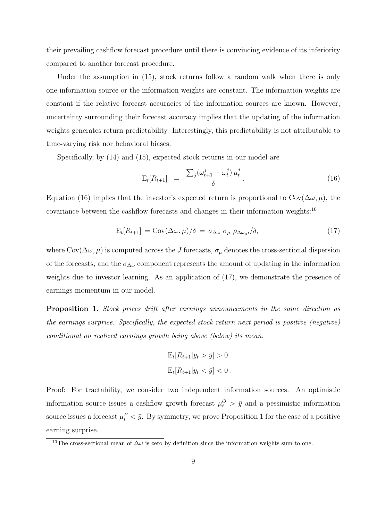their prevailing cashflow forecast procedure until there is convincing evidence of its inferiority compared to another forecast procedure.

Under the assumption in  $(15)$ , stock returns follow a random walk when there is only one information source or the information weights are constant. The information weights are constant if the relative forecast accuracies of the information sources are known. However, uncertainty surrounding their forecast accuracy implies that the updating of the information weights generates return predictability. Interestingly, this predictability is not attributable to time-varying risk nor behavioral biases.

Specifically, by (14) and (15), expected stock returns in our model are

$$
E_t[R_{t+1}] = \frac{\sum_j (\omega_{t+1}^j - \omega_t^j) \mu_t^j}{\delta}.
$$
 (16)

Equation (16) implies that the investor's expected return is proportional to  $Cov(\Delta \omega, \mu)$ , the covariance between the cashflow forecasts and changes in their information weights:<sup>10</sup>

$$
E_t[R_{t+1}] = Cov(\Delta \omega, \mu)/\delta = \sigma_{\Delta \omega} \sigma_{\mu} \rho_{\Delta \omega, \mu}/\delta,
$$
\n(17)

where  $Cov(\Delta\omega,\mu)$  is computed across the J forecasts,  $\sigma_{\mu}$  denotes the cross-sectional dispersion of the forecasts, and the  $\sigma_{\Delta\omega}$  component represents the amount of updating in the information weights due to investor learning. As an application of (17), we demonstrate the presence of earnings momentum in our model.

Proposition 1. Stock prices drift after earnings announcements in the same direction as the earnings surprise. Specifically, the expected stock return next period is positive (negative) conditional on realized earnings growth being above (below) its mean.

$$
E_t[R_{t+1}|y_t > \bar{y}] > 0
$$
  

$$
E_t[R_{t+1}|y_t < \bar{y}] < 0.
$$

Proof: For tractability, we consider two independent information sources. An optimistic information source issues a cashflow growth forecast  $\mu_t^O > \bar{y}$  and a pessimistic information source issues a forecast  $\mu_t^P < \bar{y}$ . By symmetry, we prove Proposition 1 for the case of a positive earning surprise.

<sup>&</sup>lt;sup>10</sup>The cross-sectional mean of  $\Delta\omega$  is zero by definition since the information weights sum to one.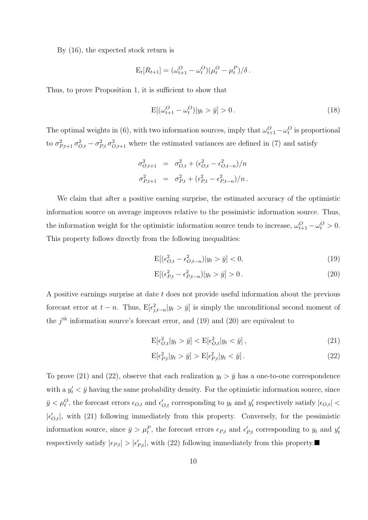By (16), the expected stock return is

$$
E_t[R_{t+1}] = (\omega_{t+1}^O - \omega_t^O)(\mu_t^O - \mu_t^P)/\delta.
$$

Thus, to prove Proposition 1, it is sufficient to show that

$$
E[(\omega_{t+1}^O - \omega_t^O)|y_t > \bar{y}] > 0.
$$
\n(18)

The optimal weights in (6), with two information sources, imply that  $\omega_{t+1}^O - \omega_t^O$  is proportional to  $\sigma_{P,t+1}^2 \sigma_{O,t}^2 - \sigma_{P,t}^2 \sigma_{O,t+1}^2$  where the estimated variances are defined in (7) and satisfy

$$
\sigma_{O,t+1}^2 = \sigma_{O,t}^2 + (\epsilon_{O,t}^2 - \epsilon_{O,t-n}^2)/n
$$
  

$$
\sigma_{P,t+1}^2 = \sigma_{P,t}^2 + (\epsilon_{P,t}^2 - \epsilon_{P,t-n}^2)/n.
$$

We claim that after a positive earning surprise, the estimated accuracy of the optimistic information source on average improves relative to the pessimistic information source. Thus, the information weight for the optimistic information source tends to increase,  $\omega_{t+1}^O - \omega_t^O > 0$ . This property follows directly from the following inequalities:

$$
E[(\epsilon_{O,t}^2 - \epsilon_{O,t-n}^2)|y_t > \bar{y}] < 0,\tag{19}
$$

$$
E[(\epsilon_{P,t}^2 - \epsilon_{P,t-n}^2)|y_t > \bar{y}] > 0.
$$
\n(20)

A positive earnings surprise at date  $t$  does not provide useful information about the previous forecast error at  $t - n$ . Thus,  $E[\epsilon_{j,t-n}^2 | y_t > \bar{y}]$  is simply the unconditional second moment of the  $j<sup>th</sup>$  information source's forecast error, and (19) and (20) are equivalent to

$$
\mathcal{E}[\epsilon_{O,t}^2 | y_t > \bar{y}] < \mathcal{E}[\epsilon_{O,t}^2 | y_t < \bar{y}],\tag{21}
$$

$$
\mathcal{E}[\epsilon_{P,t}^2 | y_t > \bar{y}] > \mathcal{E}[\epsilon_{P,t}^2 | y_t < \bar{y}].\tag{22}
$$

To prove (21) and (22), observe that each realization  $y_t > \bar{y}$  has a one-to-one correspondence with a  $y_t' < \bar{y}$  having the same probability density. For the optimistic information source, since  $\bar{y} < \mu_t^O$ , the forecast errors  $\epsilon_{O,t}$  and  $\epsilon'_{O,t}$  corresponding to  $y_t$  and  $y'_t$  respectively satisfy  $|\epsilon_{O,t}| <$  $|\epsilon'_{O,t}|$ , with (21) following immediately from this property. Conversely, for the pessimistic information source, since  $\bar{y} > \mu_t^P$ , the forecast errors  $\epsilon_{P,t}$  and  $\epsilon'_{P,t}$  corresponding to  $y_t$  and  $y'_t$ respectively satisfy  $|\epsilon_{P,t}| > |\epsilon_{P,t}'|$ , with (22) following immediately from this property.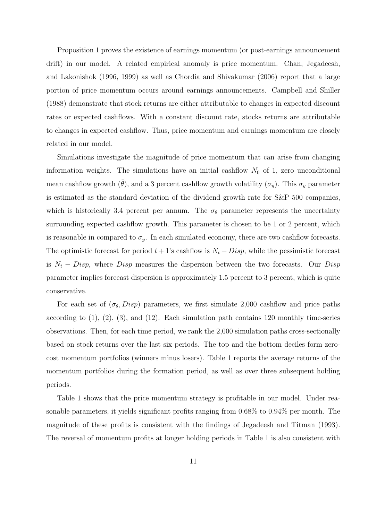Proposition 1 proves the existence of earnings momentum (or post-earnings announcement drift) in our model. A related empirical anomaly is price momentum. Chan, Jegadeesh, and Lakonishok (1996, 1999) as well as Chordia and Shivakumar (2006) report that a large portion of price momentum occurs around earnings announcements. Campbell and Shiller (1988) demonstrate that stock returns are either attributable to changes in expected discount rates or expected cashflows. With a constant discount rate, stocks returns are attributable to changes in expected cashflow. Thus, price momentum and earnings momentum are closely related in our model.

Simulations investigate the magnitude of price momentum that can arise from changing information weights. The simulations have an initial cashflow  $N_0$  of 1, zero unconditional mean cashflow growth ( $\bar{\theta}$ ), and a 3 percent cashflow growth volatility ( $\sigma_y$ ). This  $\sigma_y$  parameter is estimated as the standard deviation of the dividend growth rate for S&P 500 companies, which is historically 3.4 percent per annum. The  $\sigma_{\theta}$  parameter represents the uncertainty surrounding expected cashflow growth. This parameter is chosen to be 1 or 2 percent, which is reasonable in compared to  $\sigma_y$ . In each simulated economy, there are two cashflow forecasts. The optimistic forecast for period  $t + 1$ 's cashflow is  $N_t + Disp$ , while the pessimistic forecast is  $N_t - Disp$ , where Disp measures the dispersion between the two forecasts. Our Disp parameter implies forecast dispersion is approximately 1.5 percent to 3 percent, which is quite conservative.

For each set of  $(\sigma_{\theta}, Disp)$  parameters, we first simulate 2,000 cashflow and price paths according to  $(1)$ ,  $(2)$ ,  $(3)$ , and  $(12)$ . Each simulation path contains 120 monthly time-series observations. Then, for each time period, we rank the 2,000 simulation paths cross-sectionally based on stock returns over the last six periods. The top and the bottom deciles form zerocost momentum portfolios (winners minus losers). Table 1 reports the average returns of the momentum portfolios during the formation period, as well as over three subsequent holding periods.

Table 1 shows that the price momentum strategy is profitable in our model. Under reasonable parameters, it yields significant profits ranging from 0.68% to 0.94% per month. The magnitude of these profits is consistent with the findings of Jegadeesh and Titman (1993). The reversal of momentum profits at longer holding periods in Table 1 is also consistent with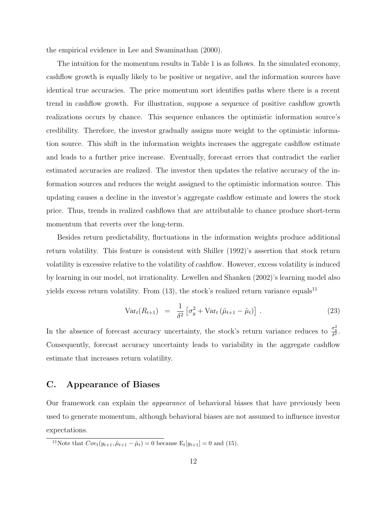the empirical evidence in Lee and Swaminathan (2000).

The intuition for the momentum results in Table 1 is as follows. In the simulated economy, cashflow growth is equally likely to be positive or negative, and the information sources have identical true accuracies. The price momentum sort identifies paths where there is a recent trend in cashflow growth. For illustration, suppose a sequence of positive cashflow growth realizations occurs by chance. This sequence enhances the optimistic information source's credibility. Therefore, the investor gradually assigns more weight to the optimistic information source. This shift in the information weights increases the aggregate cashflow estimate and leads to a further price increase. Eventually, forecast errors that contradict the earlier estimated accuracies are realized. The investor then updates the relative accuracy of the information sources and reduces the weight assigned to the optimistic information source. This updating causes a decline in the investor's aggregate cashflow estimate and lowers the stock price. Thus, trends in realized cashflows that are attributable to chance produce short-term momentum that reverts over the long-term.

Besides return predictability, fluctuations in the information weights produce additional return volatility. This feature is consistent with Shiller (1992)'s assertion that stock return volatility is excessive relative to the volatility of cashflow. However, excess volatility is induced by learning in our model, not irrationality. Lewellen and Shanken (2002)'s learning model also yields excess return volatility. From  $(13)$ , the stock's realized return variance equals<sup>11</sup>

$$
Var_t(R_{t+1}) = \frac{1}{\delta^2} \left[ \sigma_y^2 + Var_t \left( \hat{\mu}_{t+1} - \hat{\mu}_t \right) \right].
$$
 (23)

In the absence of forecast accuracy uncertainty, the stock's return variance reduces to  $\frac{\sigma_y^2}{\delta^2}$ . Consequently, forecast accuracy uncertainty leads to variability in the aggregate cashflow estimate that increases return volatility.

### C. Appearance of Biases

Our framework can explain the appearance of behavioral biases that have previously been used to generate momentum, although behavioral biases are not assumed to influence investor expectations.

<sup>&</sup>lt;sup>11</sup>Note that  $Cov_t(y_{t+1}, \hat{\mu}_{t+1} - \hat{\mu}_t) = 0$  because  $E_t[y_{t+1}] = 0$  and (15).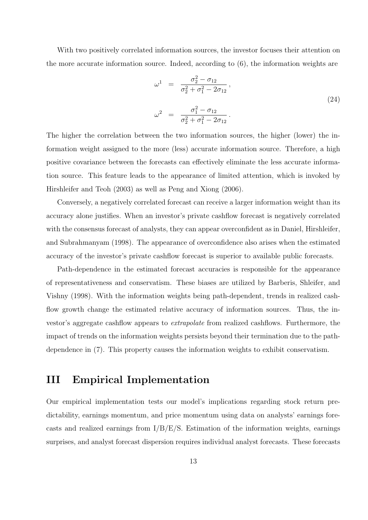With two positively correlated information sources, the investor focuses their attention on the more accurate information source. Indeed, according to (6), the information weights are

$$
\omega^{1} = \frac{\sigma_{2}^{2} - \sigma_{12}}{\sigma_{2}^{2} + \sigma_{1}^{2} - 2\sigma_{12}},
$$
\n
$$
\omega^{2} = \frac{\sigma_{1}^{2} - \sigma_{12}}{\sigma_{2}^{2} + \sigma_{1}^{2} - 2\sigma_{12}}.
$$
\n(24)

The higher the correlation between the two information sources, the higher (lower) the information weight assigned to the more (less) accurate information source. Therefore, a high positive covariance between the forecasts can effectively eliminate the less accurate information source. This feature leads to the appearance of limited attention, which is invoked by Hirshleifer and Teoh (2003) as well as Peng and Xiong (2006).

Conversely, a negatively correlated forecast can receive a larger information weight than its accuracy alone justifies. When an investor's private cashflow forecast is negatively correlated with the consensus forecast of analysts, they can appear overconfident as in Daniel, Hirshleifer, and Subrahmanyam (1998). The appearance of overconfidence also arises when the estimated accuracy of the investor's private cashflow forecast is superior to available public forecasts.

Path-dependence in the estimated forecast accuracies is responsible for the appearance of representativeness and conservatism. These biases are utilized by Barberis, Shleifer, and Vishny (1998). With the information weights being path-dependent, trends in realized cashflow growth change the estimated relative accuracy of information sources. Thus, the investor's aggregate cashflow appears to extrapolate from realized cashflows. Furthermore, the impact of trends on the information weights persists beyond their termination due to the pathdependence in (7). This property causes the information weights to exhibit conservatism.

# III Empirical Implementation

Our empirical implementation tests our model's implications regarding stock return predictability, earnings momentum, and price momentum using data on analysts' earnings forecasts and realized earnings from I/B/E/S. Estimation of the information weights, earnings surprises, and analyst forecast dispersion requires individual analyst forecasts. These forecasts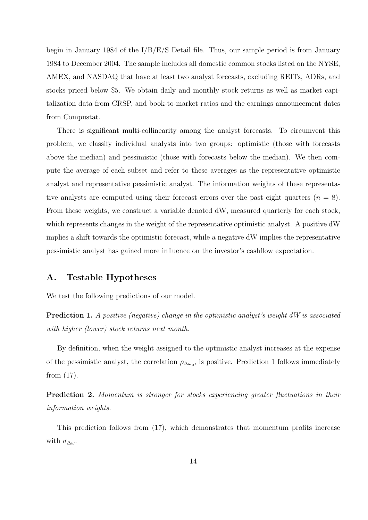begin in January 1984 of the I/B/E/S Detail file. Thus, our sample period is from January 1984 to December 2004. The sample includes all domestic common stocks listed on the NYSE, AMEX, and NASDAQ that have at least two analyst forecasts, excluding REITs, ADRs, and stocks priced below \$5. We obtain daily and monthly stock returns as well as market capitalization data from CRSP, and book-to-market ratios and the earnings announcement dates from Compustat.

There is significant multi-collinearity among the analyst forecasts. To circumvent this problem, we classify individual analysts into two groups: optimistic (those with forecasts above the median) and pessimistic (those with forecasts below the median). We then compute the average of each subset and refer to these averages as the representative optimistic analyst and representative pessimistic analyst. The information weights of these representative analysts are computed using their forecast errors over the past eight quarters  $(n = 8)$ . From these weights, we construct a variable denoted dW, measured quarterly for each stock, which represents changes in the weight of the representative optimistic analyst. A positive dW implies a shift towards the optimistic forecast, while a negative dW implies the representative pessimistic analyst has gained more influence on the investor's cashflow expectation.

#### A. Testable Hypotheses

We test the following predictions of our model.

Prediction 1. A positive (negative) change in the optimistic analyst's weight dW is associated with higher (lower) stock returns next month.

By definition, when the weight assigned to the optimistic analyst increases at the expense of the pessimistic analyst, the correlation  $\rho_{\Delta\omega,\mu}$  is positive. Prediction 1 follows immediately from (17).

Prediction 2. Momentum is stronger for stocks experiencing greater fluctuations in their information weights.

This prediction follows from (17), which demonstrates that momentum profits increase with  $\sigma_{\Delta\omega}$ .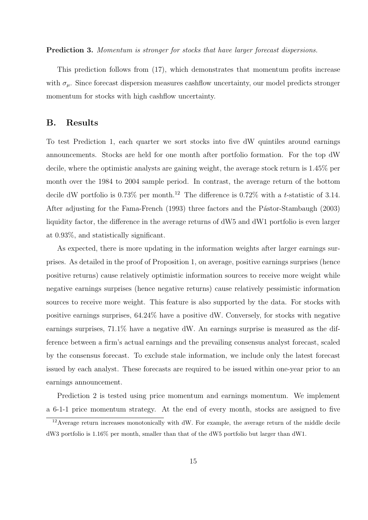Prediction 3. Momentum is stronger for stocks that have larger forecast dispersions.

This prediction follows from (17), which demonstrates that momentum profits increase with  $\sigma_{\mu}$ . Since forecast dispersion measures cashflow uncertainty, our model predicts stronger momentum for stocks with high cashflow uncertainty.

### B. Results

To test Prediction 1, each quarter we sort stocks into five dW quintiles around earnings announcements. Stocks are held for one month after portfolio formation. For the top dW decile, where the optimistic analysts are gaining weight, the average stock return is 1.45% per month over the 1984 to 2004 sample period. In contrast, the average return of the bottom decile dW portfolio is 0.73% per month.<sup>12</sup> The difference is 0.72% with a t-statistic of 3.14. After adjusting for the Fama-French (1993) three factors and the Pástor-Stambaugh (2003) liquidity factor, the difference in the average returns of dW5 and dW1 portfolio is even larger at 0.93%, and statistically significant.

As expected, there is more updating in the information weights after larger earnings surprises. As detailed in the proof of Proposition 1, on average, positive earnings surprises (hence positive returns) cause relatively optimistic information sources to receive more weight while negative earnings surprises (hence negative returns) cause relatively pessimistic information sources to receive more weight. This feature is also supported by the data. For stocks with positive earnings surprises, 64.24% have a positive dW. Conversely, for stocks with negative earnings surprises, 71.1% have a negative dW. An earnings surprise is measured as the difference between a firm's actual earnings and the prevailing consensus analyst forecast, scaled by the consensus forecast. To exclude stale information, we include only the latest forecast issued by each analyst. These forecasts are required to be issued within one-year prior to an earnings announcement.

Prediction 2 is tested using price momentum and earnings momentum. We implement a 6-1-1 price momentum strategy. At the end of every month, stocks are assigned to five

 $12$ Average return increases monotonically with dW. For example, the average return of the middle decile dW3 portfolio is 1.16% per month, smaller than that of the dW5 portfolio but larger than dW1.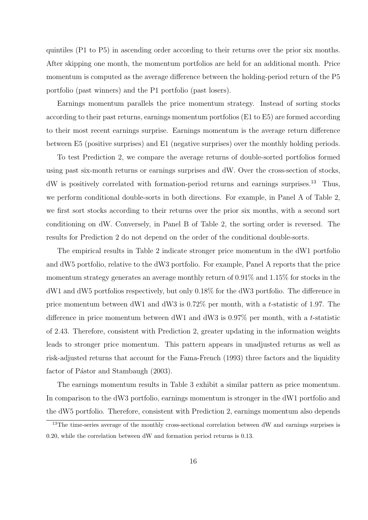quintiles (P1 to P5) in ascending order according to their returns over the prior six months. After skipping one month, the momentum portfolios are held for an additional month. Price momentum is computed as the average difference between the holding-period return of the P5 portfolio (past winners) and the P1 portfolio (past losers).

Earnings momentum parallels the price momentum strategy. Instead of sorting stocks according to their past returns, earnings momentum portfolios (E1 to E5) are formed according to their most recent earnings surprise. Earnings momentum is the average return difference between E5 (positive surprises) and E1 (negative surprises) over the monthly holding periods.

To test Prediction 2, we compare the average returns of double-sorted portfolios formed using past six-month returns or earnings surprises and dW. Over the cross-section of stocks, dW is positively correlated with formation-period returns and earnings surprises.<sup>13</sup> Thus, we perform conditional double-sorts in both directions. For example, in Panel A of Table 2, we first sort stocks according to their returns over the prior six months, with a second sort conditioning on dW. Conversely, in Panel B of Table 2, the sorting order is reversed. The results for Prediction 2 do not depend on the order of the conditional double-sorts.

The empirical results in Table 2 indicate stronger price momentum in the dW1 portfolio and dW5 portfolio, relative to the dW3 portfolio. For example, Panel A reports that the price momentum strategy generates an average monthly return of 0.91% and 1.15% for stocks in the dW1 and dW5 portfolios respectively, but only 0.18% for the dW3 portfolio. The difference in price momentum between dW1 and dW3 is 0.72% per month, with a t-statistic of 1.97. The difference in price momentum between dW1 and dW3 is 0.97% per month, with a t-statistic of 2.43. Therefore, consistent with Prediction 2, greater updating in the information weights leads to stronger price momentum. This pattern appears in unadjusted returns as well as risk-adjusted returns that account for the Fama-French (1993) three factors and the liquidity factor of Pástor and Stambaugh (2003).

The earnings momentum results in Table 3 exhibit a similar pattern as price momentum. In comparison to the dW3 portfolio, earnings momentum is stronger in the dW1 portfolio and the dW5 portfolio. Therefore, consistent with Prediction 2, earnings momentum also depends

<sup>&</sup>lt;sup>13</sup>The time-series average of the monthly cross-sectional correlation between dW and earnings surprises is 0.20, while the correlation between dW and formation period returns is 0.13.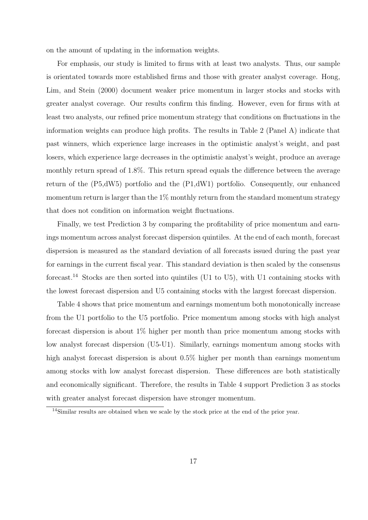on the amount of updating in the information weights.

For emphasis, our study is limited to firms with at least two analysts. Thus, our sample is orientated towards more established firms and those with greater analyst coverage. Hong, Lim, and Stein (2000) document weaker price momentum in larger stocks and stocks with greater analyst coverage. Our results confirm this finding. However, even for firms with at least two analysts, our refined price momentum strategy that conditions on fluctuations in the information weights can produce high profits. The results in Table 2 (Panel A) indicate that past winners, which experience large increases in the optimistic analyst's weight, and past losers, which experience large decreases in the optimistic analyst's weight, produce an average monthly return spread of 1.8%. This return spread equals the difference between the average return of the (P5,dW5) portfolio and the (P1,dW1) portfolio. Consequently, our enhanced momentum return is larger than the  $1\%$  monthly return from the standard momentum strategy that does not condition on information weight fluctuations.

Finally, we test Prediction 3 by comparing the profitability of price momentum and earnings momentum across analyst forecast dispersion quintiles. At the end of each month, forecast dispersion is measured as the standard deviation of all forecasts issued during the past year for earnings in the current fiscal year. This standard deviation is then scaled by the consensus forecast.<sup>14</sup> Stocks are then sorted into quintiles (U1 to U5), with U1 containing stocks with the lowest forecast dispersion and U5 containing stocks with the largest forecast dispersion.

Table 4 shows that price momentum and earnings momentum both monotonically increase from the U1 portfolio to the U5 portfolio. Price momentum among stocks with high analyst forecast dispersion is about 1% higher per month than price momentum among stocks with low analyst forecast dispersion (U5-U1). Similarly, earnings momentum among stocks with high analyst forecast dispersion is about  $0.5\%$  higher per month than earnings momentum among stocks with low analyst forecast dispersion. These differences are both statistically and economically significant. Therefore, the results in Table 4 support Prediction 3 as stocks with greater analyst forecast dispersion have stronger momentum.

<sup>&</sup>lt;sup>14</sup>Similar results are obtained when we scale by the stock price at the end of the prior year.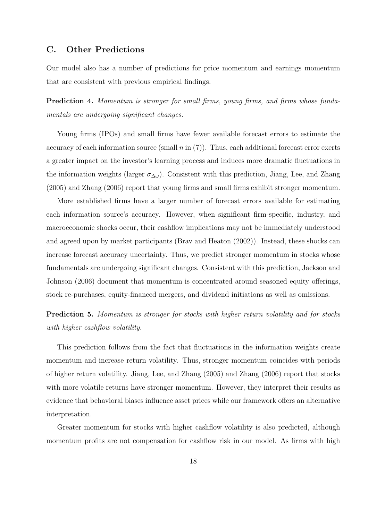### C. Other Predictions

Our model also has a number of predictions for price momentum and earnings momentum that are consistent with previous empirical findings.

Prediction 4. Momentum is stronger for small firms, young firms, and firms whose fundamentals are undergoing significant changes.

Young firms (IPOs) and small firms have fewer available forecast errors to estimate the accuracy of each information source (small  $n$  in  $(7)$ ). Thus, each additional forecast error exerts a greater impact on the investor's learning process and induces more dramatic fluctuations in the information weights (larger  $\sigma_{\Delta\omega}$ ). Consistent with this prediction, Jiang, Lee, and Zhang (2005) and Zhang (2006) report that young firms and small firms exhibit stronger momentum.

More established firms have a larger number of forecast errors available for estimating each information source's accuracy. However, when significant firm-specific, industry, and macroeconomic shocks occur, their cashflow implications may not be immediately understood and agreed upon by market participants (Brav and Heaton (2002)). Instead, these shocks can increase forecast accuracy uncertainty. Thus, we predict stronger momentum in stocks whose fundamentals are undergoing significant changes. Consistent with this prediction, Jackson and Johnson (2006) document that momentum is concentrated around seasoned equity offerings, stock re-purchases, equity-financed mergers, and dividend initiations as well as omissions.

Prediction 5. Momentum is stronger for stocks with higher return volatility and for stocks with higher cashflow volatility.

This prediction follows from the fact that fluctuations in the information weights create momentum and increase return volatility. Thus, stronger momentum coincides with periods of higher return volatility. Jiang, Lee, and Zhang (2005) and Zhang (2006) report that stocks with more volatile returns have stronger momentum. However, they interpret their results as evidence that behavioral biases influence asset prices while our framework offers an alternative interpretation.

Greater momentum for stocks with higher cashflow volatility is also predicted, although momentum profits are not compensation for cashflow risk in our model. As firms with high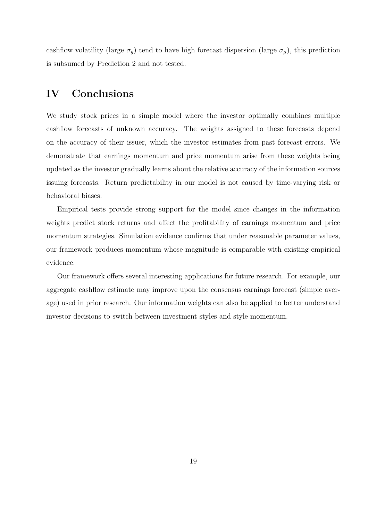cashflow volatility (large  $\sigma_y$ ) tend to have high forecast dispersion (large  $\sigma_\mu$ ), this prediction is subsumed by Prediction 2 and not tested.

# IV Conclusions

We study stock prices in a simple model where the investor optimally combines multiple cashflow forecasts of unknown accuracy. The weights assigned to these forecasts depend on the accuracy of their issuer, which the investor estimates from past forecast errors. We demonstrate that earnings momentum and price momentum arise from these weights being updated as the investor gradually learns about the relative accuracy of the information sources issuing forecasts. Return predictability in our model is not caused by time-varying risk or behavioral biases.

Empirical tests provide strong support for the model since changes in the information weights predict stock returns and affect the profitability of earnings momentum and price momentum strategies. Simulation evidence confirms that under reasonable parameter values, our framework produces momentum whose magnitude is comparable with existing empirical evidence.

Our framework offers several interesting applications for future research. For example, our aggregate cashflow estimate may improve upon the consensus earnings forecast (simple average) used in prior research. Our information weights can also be applied to better understand investor decisions to switch between investment styles and style momentum.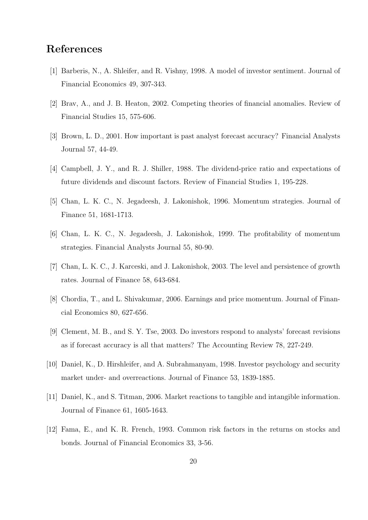# References

- [1] Barberis, N., A. Shleifer, and R. Vishny, 1998. A model of investor sentiment. Journal of Financial Economics 49, 307-343.
- [2] Brav, A., and J. B. Heaton, 2002. Competing theories of financial anomalies. Review of Financial Studies 15, 575-606.
- [3] Brown, L. D., 2001. How important is past analyst forecast accuracy? Financial Analysts Journal 57, 44-49.
- [4] Campbell, J. Y., and R. J. Shiller, 1988. The dividend-price ratio and expectations of future dividends and discount factors. Review of Financial Studies 1, 195-228.
- [5] Chan, L. K. C., N. Jegadeesh, J. Lakonishok, 1996. Momentum strategies. Journal of Finance 51, 1681-1713.
- [6] Chan, L. K. C., N. Jegadeesh, J. Lakonishok, 1999. The profitability of momentum strategies. Financial Analysts Journal 55, 80-90.
- [7] Chan, L. K. C., J. Karceski, and J. Lakonishok, 2003. The level and persistence of growth rates. Journal of Finance 58, 643-684.
- [8] Chordia, T., and L. Shivakumar, 2006. Earnings and price momentum. Journal of Financial Economics 80, 627-656.
- [9] Clement, M. B., and S. Y. Tse, 2003. Do investors respond to analysts' forecast revisions as if forecast accuracy is all that matters? The Accounting Review 78, 227-249.
- [10] Daniel, K., D. Hirshleifer, and A. Subrahmanyam, 1998. Investor psychology and security market under- and overreactions. Journal of Finance 53, 1839-1885.
- [11] Daniel, K., and S. Titman, 2006. Market reactions to tangible and intangible information. Journal of Finance 61, 1605-1643.
- [12] Fama, E., and K. R. French, 1993. Common risk factors in the returns on stocks and bonds. Journal of Financial Economics 33, 3-56.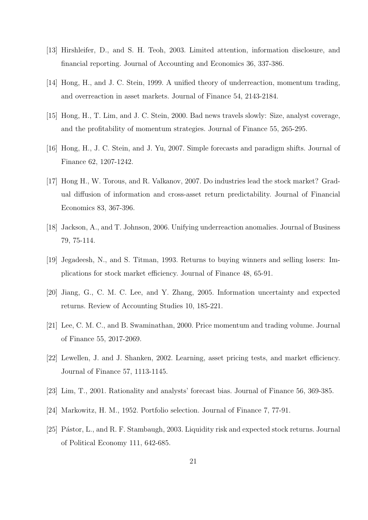- [13] Hirshleifer, D., and S. H. Teoh, 2003. Limited attention, information disclosure, and financial reporting. Journal of Accounting and Economics 36, 337-386.
- [14] Hong, H., and J. C. Stein, 1999. A unified theory of underreaction, momentum trading, and overreaction in asset markets. Journal of Finance 54, 2143-2184.
- [15] Hong, H., T. Lim, and J. C. Stein, 2000. Bad news travels slowly: Size, analyst coverage, and the profitability of momentum strategies. Journal of Finance 55, 265-295.
- [16] Hong, H., J. C. Stein, and J. Yu, 2007. Simple forecasts and paradigm shifts. Journal of Finance 62, 1207-1242.
- [17] Hong H., W. Torous, and R. Valkanov, 2007. Do industries lead the stock market? Gradual diffusion of information and cross-asset return predictability. Journal of Financial Economics 83, 367-396.
- [18] Jackson, A., and T. Johnson, 2006. Unifying underreaction anomalies. Journal of Business 79, 75-114.
- [19] Jegadeesh, N., and S. Titman, 1993. Returns to buying winners and selling losers: Implications for stock market efficiency. Journal of Finance 48, 65-91.
- [20] Jiang, G., C. M. C. Lee, and Y. Zhang, 2005. Information uncertainty and expected returns. Review of Accounting Studies 10, 185-221.
- [21] Lee, C. M. C., and B. Swaminathan, 2000. Price momentum and trading volume. Journal of Finance 55, 2017-2069.
- [22] Lewellen, J. and J. Shanken, 2002. Learning, asset pricing tests, and market efficiency. Journal of Finance 57, 1113-1145.
- [23] Lim, T., 2001. Rationality and analysts' forecast bias. Journal of Finance 56, 369-385.
- [24] Markowitz, H. M., 1952. Portfolio selection. Journal of Finance 7, 77-91.
- [25] Pástor, L., and R. F. Stambaugh, 2003. Liquidity risk and expected stock returns. Journal of Political Economy 111, 642-685.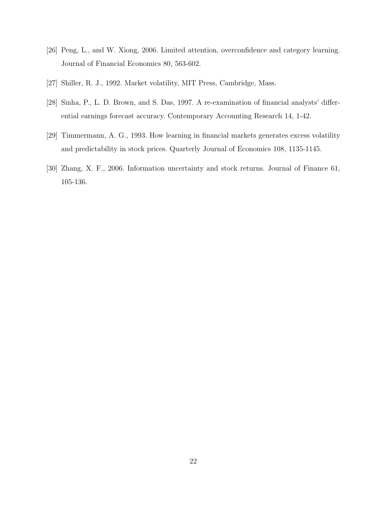- [26] Peng, L., and W. Xiong, 2006. Limited attention, overconfidence and category learning. Journal of Financial Economics 80, 563-602.
- [27] Shiller, R. J., 1992. Market volatility, MIT Press, Cambridge, Mass.
- [28] Sinha, P., L. D. Brown, and S. Das, 1997. A re-examination of financial analysts' differential earnings forecast accuracy. Contemporary Accounting Research 14, 1-42.
- [29] Timmermann, A. G., 1993. How learning in financial markets generates excess volatility and predictability in stock prices. Quarterly Journal of Economics 108, 1135-1145.
- [30] Zhang, X. F., 2006. Information uncertainty and stock returns. Journal of Finance 61, 105-136.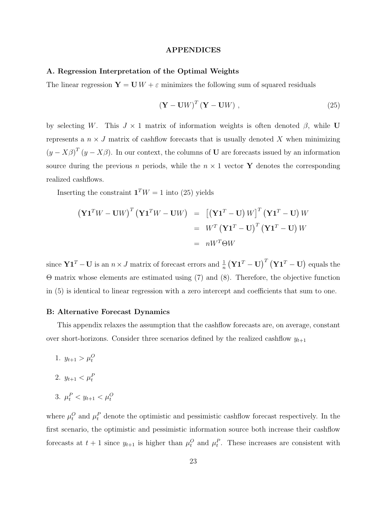#### APPENDICES

#### A. Regression Interpretation of the Optimal Weights

The linear regression  $\mathbf{Y} = \mathbf{U} W + \varepsilon$  minimizes the following sum of squared residuals

$$
\left(\mathbf{Y} - \mathbf{U}W\right)^{T} \left(\mathbf{Y} - \mathbf{U}W\right),\tag{25}
$$

by selecting W. This  $J \times 1$  matrix of information weights is often denoted  $\beta$ , while U represents a  $n \times J$  matrix of cashflow forecasts that is usually denoted X when minimizing  $(y - X\beta)^T (y - X\beta)$ . In our context, the columns of **U** are forecasts issued by an information source during the previous n periods, while the  $n \times 1$  vector Y denotes the corresponding realized cashflows.

Inserting the constraint  $\mathbf{1}^T W = 1$  into (25) yields

$$
\begin{aligned} \left(\mathbf{Y}\mathbf{1}^T W - \mathbf{U}W\right)^T \left(\mathbf{Y}\mathbf{1}^T W - \mathbf{U}W\right) &= \left[\left(\mathbf{Y}\mathbf{1}^T - \mathbf{U}\right)W\right]^T \left(\mathbf{Y}\mathbf{1}^T - \mathbf{U}\right)W \\ &= W^T \left(\mathbf{Y}\mathbf{1}^T - \mathbf{U}\right)^T \left(\mathbf{Y}\mathbf{1}^T - \mathbf{U}\right)W \\ &= nW^T \Theta W \end{aligned}
$$

since  $\mathbf{Y1}^T - \mathbf{U}$  is an  $n \times J$  matrix of forecast errors and  $\frac{1}{n}$ ¡  $\mathbf{Y}\mathbf{1}^T-\mathbf{U}\big)^T\left(\mathbf{Y}\mathbf{1}^T-\mathbf{U}\right)$ ¢ equals the Θ matrix whose elements are estimated using (7) and (8). Therefore, the objective function in (5) is identical to linear regression with a zero intercept and coefficients that sum to one.

#### B: Alternative Forecast Dynamics

This appendix relaxes the assumption that the cashflow forecasts are, on average, constant over short-horizons. Consider three scenarios defined by the realized cashflow  $y_{t+1}$ 

- 1.  $y_{t+1} > \mu_t^O$
- 2.  $y_{t+1} < \mu_t^P$
- 3.  $\mu_t^P < y_{t+1} < \mu_t^O$

where  $\mu_t^O$  and  $\mu_t^P$  denote the optimistic and pessimistic cashflow forecast respectively. In the first scenario, the optimistic and pessimistic information source both increase their cashflow forecasts at  $t + 1$  since  $y_{t+1}$  is higher than  $\mu_t^O$  and  $\mu_t^P$ . These increases are consistent with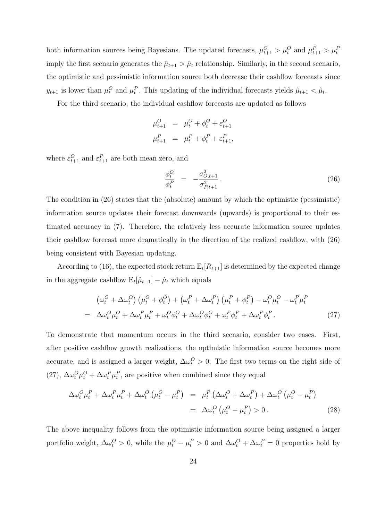both information sources being Bayesians. The updated forecasts,  $\mu_{t+1}^O > \mu_t^O$  and  $\mu_{t+1}^P > \mu_t^P$ imply the first scenario generates the  $\hat{\mu}_{t+1} > \hat{\mu}_t$  relationship. Similarly, in the second scenario, the optimistic and pessimistic information source both decrease their cashflow forecasts since  $y_{t+1}$  is lower than  $\mu_t^O$  and  $\mu_t^P$ . This updating of the individual forecasts yields  $\hat{\mu}_{t+1} < \hat{\mu}_t$ .

For the third scenario, the individual cashflow forecasts are updated as follows

$$
\mu_{t+1}^O = \mu_t^O + \phi_t^O + \varepsilon_{t+1}^O
$$
  

$$
\mu_{t+1}^P = \mu_t^P + \phi_t^P + \varepsilon_{t+1}^P,
$$

where  $\varepsilon_{t+1}^O$  and  $\varepsilon_{t+1}^P$  are both mean zero, and

$$
\frac{\phi_t^O}{\phi_t^P} = -\frac{\sigma_{O,t+1}^2}{\sigma_{P,t+1}^2}.
$$
\n(26)

The condition in (26) states that the (absolute) amount by which the optimistic (pessimistic) information source updates their forecast downwards (upwards) is proportional to their estimated accuracy in (7). Therefore, the relatively less accurate information source updates their cashflow forecast more dramatically in the direction of the realized cashflow, with (26) being consistent with Bayesian updating.

According to (16), the expected stock return  $E_t[R_{t+1}]$  is determined by the expected change in the aggregate cashflow  $E_t[\hat{\mu}_{t+1}] - \hat{\mu}_t$  which equals

$$
\left(\omega_t^O + \Delta\omega_t^O\right)\left(\mu_t^O + \phi_t^O\right) + \left(\omega_t^P + \Delta\omega_t^P\right)\left(\mu_t^P + \phi_t^P\right) - \omega_t^O\mu_t^O - \omega_t^P\mu_t^P
$$
\n
$$
= \Delta\omega_t^O\mu_t^O + \Delta\omega_t^P\mu_t^P + \omega_t^O\phi_t^O + \Delta\omega_t^O\phi_t^O + \omega_t^P\phi_t^P + \Delta\omega_t^P\phi_t^P. \tag{27}
$$

To demonstrate that momentum occurs in the third scenario, consider two cases. First, after positive cashflow growth realizations, the optimistic information source becomes more accurate, and is assigned a larger weight,  $\Delta \omega_t^O > 0$ . The first two terms on the right side of (27),  $\Delta \omega_t^O \mu_t^O + \Delta \omega_t^P \mu_t^P$ , are positive when combined since they equal

$$
\Delta \omega_t^O \mu_t^P + \Delta \omega_t^P \mu_t^P + \Delta \omega_t^O \left( \mu_t^O - \mu_t^P \right) = \mu_t^P \left( \Delta \omega_t^O + \Delta \omega_t^P \right) + \Delta \omega_t^O \left( \mu_t^O - \mu_t^P \right)
$$
  
= 
$$
\Delta \omega_t^O \left( \mu_t^O - \mu_t^P \right) > 0.
$$
 (28)

The above inequality follows from the optimistic information source being assigned a larger portfolio weight,  $\Delta \omega_t^O > 0$ , while the  $\mu_t^O - \mu_t^P > 0$  and  $\Delta \omega_t^O + \Delta \omega_t^P = 0$  properties hold by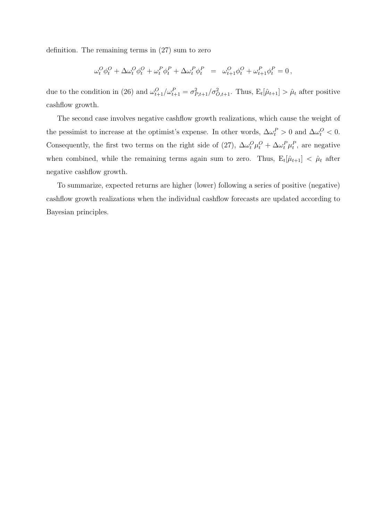definition. The remaining terms in (27) sum to zero

$$
\omega^O_t \phi^O_t + \Delta \omega^O_t \phi^O_t + \omega^P_t \phi^P_t + \Delta \omega^P_t \phi^P_t = \omega^O_{t+1} \phi^O_t + \omega^P_{t+1} \phi^P_t = 0 \,,
$$

due to the condition in (26) and  $\omega_{t+1}^O/\omega_{t+1}^P = \sigma_{P,t+1}^2/\sigma_{O,t+1}^2$ . Thus,  $E_t[\hat{\mu}_{t+1}] > \hat{\mu}_t$  after positive cashflow growth.

The second case involves negative cashflow growth realizations, which cause the weight of the pessimist to increase at the optimist's expense. In other words,  $\Delta \omega_t^P > 0$  and  $\Delta \omega_t^O < 0$ . Consequently, the first two terms on the right side of (27),  $\Delta \omega_t^O \mu_t^O + \Delta \omega_t^P \mu_t^P$ , are negative when combined, while the remaining terms again sum to zero. Thus,  $E_t[\hat{\mu}_{t+1}] < \hat{\mu}_t$  after negative cashflow growth.

To summarize, expected returns are higher (lower) following a series of positive (negative) cashflow growth realizations when the individual cashflow forecasts are updated according to Bayesian principles.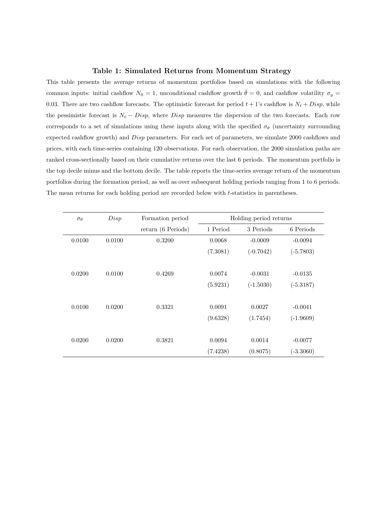#### Table 1: Simulated Returns from Momentum Strategy

This table presents the average returns of momentum portfolios based on simulations with the following common inputs: initial cashflow  $N_0 = 1$ , unconditional cashflow growth  $\bar{\theta} = 0$ , and cashflow volatility  $\sigma_y =$ 0.03. There are two cashflow forecasts. The optimistic forecast for period  $t + 1$ 's cashflow is  $N_t + Disp$ , while the pessimistic forecast is  $N_t - Disp$ , where Disp measures the dispersion of the two forecasts. Each row corresponds to a set of simulations using these inputs along with the specified  $\sigma_{\theta}$  (uncertainty surrounding expected cashflow growth) and Disp parameters. For each set of parameters, we simulate 2000 cashflows and prices, with each time-series containing 120 observations. For each observation, the 2000 simulation paths are ranked cross-sectionally based on their cumulative returns over the last 6 periods. The momentum portfolio is the top decile minus and the bottom decile. The table reports the time-series average return of the momentum portfolios during the formation period, as well as over subsequent holding periods ranging from 1 to 6 periods. The mean returns for each holding period are recorded below with t-statistics in parentheses.

| $\sigma_{\theta}$ | Disp   | Formation period   |          | Holding period returns |             |
|-------------------|--------|--------------------|----------|------------------------|-------------|
|                   |        | return (6 Periods) | 1 Period | 3 Periods              | 6 Periods   |
| 0.0100            | 0.0100 | 0.3200             | 0.0068   | $-0.0009$              | $-0.0094$   |
|                   |        |                    | (7.3081) | $(-0.7042)$            | $(-5.7803)$ |
|                   |        |                    |          |                        |             |
| 0.0200            | 0.0100 | 0.4269             | 0.0074   | $-0.0031$              | $-0.0135$   |
|                   |        |                    | (5.9231) | $(-1.5030)$            | $(-5.3187)$ |
|                   |        |                    |          |                        |             |
| 0.0100            | 0.0200 | 0.3321             | 0.0091   | 0.0027                 | $-0.0041$   |
|                   |        |                    | (9.6328) | (1.7454)               | $(-1.9609)$ |
|                   |        |                    |          |                        |             |
| 0.0200            | 0.0200 | 0.3821             | 0.0094   | 0.0014                 | $-0.0077$   |
|                   |        |                    | (7.4238) | (0.8075)               | $(-3.3060)$ |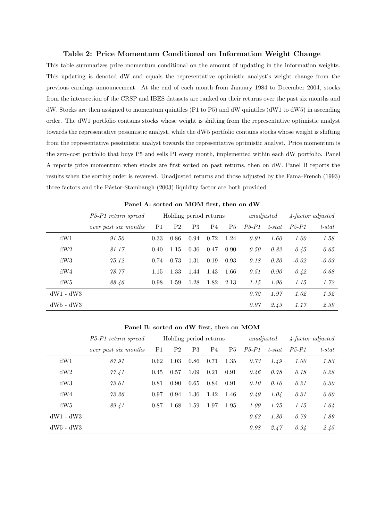#### Table 2: Price Momentum Conditional on Information Weight Change

This table summarizes price momentum conditional on the amount of updating in the information weights. This updating is denoted dW and equals the representative optimistic analyst's weight change from the previous earnings announcement. At the end of each month from January 1984 to December 2004, stocks from the intersection of the CRSP and IBES datasets are ranked on their returns over the past six months and dW. Stocks are then assigned to momentum quintiles (P1 to P5) and dW quintiles (dW1 to dW5) in ascending order. The dW1 portfolio contains stocks whose weight is shifting from the representative optimistic analyst towards the representative pessimistic analyst, while the dW5 portfolio contains stocks whose weight is shifting from the representative pessimistic analyst towards the representative optimistic analyst. Price momentum is the zero-cost portfolio that buys P5 and sells P1 every month, implemented within each dW portfolio. Panel A reports price momentum when stocks are first sorted on past returns, then on dW. Panel B reports the results when the sorting order is reversed. Unadjusted returns and those adjusted by the Fama-French (1993) three factors and the Pástor-Stambaugh (2003) liquidity factor are both provided.

|             | P5-P1 return spread  |                | Holding period returns |                |      |                |         | unadjusted | $\angle$ -factor adjusted |           |  |  |
|-------------|----------------------|----------------|------------------------|----------------|------|----------------|---------|------------|---------------------------|-----------|--|--|
|             | over past six months | P <sub>1</sub> | P <sub>2</sub>         | P <sub>3</sub> | P4   | P <sub>5</sub> | $P5-P1$ | $t$ -stat  | $P5-P1$                   | $t$ -stat |  |  |
| dW1         | 91.50                | 0.33           | 0.86                   | 0.94           | 0.72 | 1.24           | 0.91    | 1.60       | 1.00                      | 1.58      |  |  |
| dW2         | 81.17                | 0.40           | 1.15                   | 0.36           | 0.47 | 0.90           | 0.50    | 0.82       | 0.45                      | 0.65      |  |  |
| dW3         | 75.12                | 0.74           | 0.73                   | 1.31           | 0.19 | 0.93           | 0.18    | 0.30       | $-0.02$                   | $-0.03$   |  |  |
| dW4         | 78.77                | 1.15           | 1.33                   | 1.44           | 1.43 | 1.66           | 0.51    | 0.90       | 0.42                      | 0.68      |  |  |
| dW5         | 88.46                | 0.98           | 1.59                   | 1.28           | 1.82 | 2.13           | 1.15    | 1.96       | 1.15                      | 1.72      |  |  |
| $dW1 - dW3$ |                      |                |                        |                |      |                | 0.72    | 1.97       | 1.02                      | 1.92      |  |  |
| $dW5 - dW3$ |                      |                |                        |                |      |                | 0.97    | 2.43       | 1.17                      | 2.39      |  |  |

| Panel A: sorted on MOM first, then on dW |  |  |  |  |
|------------------------------------------|--|--|--|--|
|------------------------------------------|--|--|--|--|

|             | Panel B: sorted on dW first, then on MOM |                |                |                           |      |      |         |           |         |           |  |  |  |
|-------------|------------------------------------------|----------------|----------------|---------------------------|------|------|---------|-----------|---------|-----------|--|--|--|
|             | P5-P1 return spread                      | unadjusted     |                | $\angle$ -factor adjusted |      |      |         |           |         |           |  |  |  |
|             | over past six months                     | P <sub>1</sub> | P <sub>2</sub> | P <sub>3</sub>            | P4   | P5   | $P5-P1$ | $t$ -stat | $P5-P1$ | $t$ -stat |  |  |  |
| dW1         | 87.91                                    | 0.62           | 1.03           | 0.86                      | 0.71 | 1.35 | 0.73    | 1.49      | 1.00    | 1.83      |  |  |  |
| dW2         | 77.41                                    | 0.45           | 0.57           | 1.09                      | 0.21 | 0.91 | 0.46    | 0.78      | 0.18    | 0.28      |  |  |  |
| dW3         | 73.61                                    | 0.81           | 0.90           | 0.65                      | 0.84 | 0.91 | 0.10    | 0.16      | 0.21    | 0.30      |  |  |  |
| dW4         | 73.26                                    | 0.97           | 0.94           | 1.36                      | 1.42 | 1.46 | 0.49    | 1.04      | 0.31    | 0.60      |  |  |  |
| dW5         | 89.41                                    | 0.87           | 1.68           | 1.59                      | 1.97 | 1.95 | 1.09    | 1.75      | 1.15    | 1.64      |  |  |  |
| $dW1 - dW3$ |                                          |                |                |                           |      |      | 0.63    | 1.80      | 0.79    | 1.89      |  |  |  |
| $dW5 - dW3$ |                                          |                |                |                           |      |      | 0.98    | 2.47      | 0.94    | 2.45      |  |  |  |

Panel B: sorted on dW first, then on MOM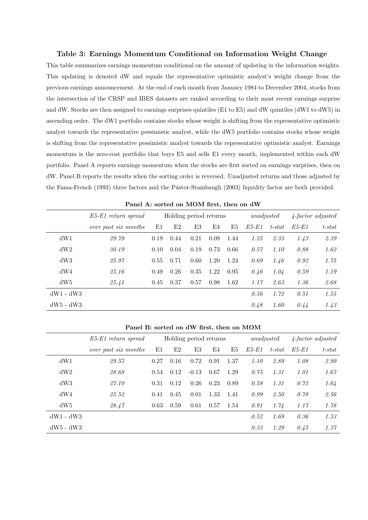#### Table 3: Earnings Momentum Conditional on Information Weight Change

This table summarizes earnings momentum conditional on the amount of updating in the information weights. This updating is denoted dW and equals the representative optimistic analyst's weight change from the previous earnings announcement. At the end of each month from January 1984 to December 2004, stocks from the intersection of the CRSP and IBES datasets are ranked according to their most recent earnings surprise and dW. Stocks are then assigned to earnings surprises quintiles (E1 to E5) and dW quintiles (dW1 to dW5) in ascending order. The dW1 portfolio contains stocks whose weight is shifting from the representative optimistic analyst towards the representative pessimistic analyst, while the dW5 portfolio contains stocks whose weight is shifting from the representative pessimistic analyst towards the representative optimistic analyst. Earnings momentum is the zero-cost portfolio that buys E5 and sells E1 every month, implemented within each dW portfolio. Panel A reports earnings momentum when the stocks are first sorted on earnings surprises, then on dW. Panel B reports the results when the sorting order is reversed. Unadjusted returns and those adjusted by the Fama-French (1993) three factors and the Pástor-Stambaugh (2003) liquidity factor are both provided.

|             | E5-E1 return spread  |             | Holding period returns |      |      |      |       | unadjusted |             | $\angle$ -factor adjusted |  |  |
|-------------|----------------------|-------------|------------------------|------|------|------|-------|------------|-------------|---------------------------|--|--|
|             | over past six months | $_{\rm E1}$ | E2                     | E3   | E4   | E5   | E5-E1 | $t$ -stat  | $E5$ - $E1$ | $t$ -stat                 |  |  |
| dW1         | 29.79                | 0.19        | 0.44                   | 0.21 | 0.09 | 1.44 | 1.25  | 2.33       | 1.43        | 2.39                      |  |  |
| dW2         | 30.19                | 0.10        | 0.04                   | 0.19 | 0.73 | 0.66 | 0.57  | 1.10       | 0.88        | 1.62                      |  |  |
| dW3         | 25.97                | 0.55        | 0.71                   | 0.60 | 1.20 | 1.24 | 0.69  | 1.46       | 0.92        | 1.75                      |  |  |
| dW4         | 25.16                | 0.49        | 0.26                   | 0.35 | 1.22 | 0.95 | 0.46  | 1.04       | 0.59        | 1.19                      |  |  |
| dW5         | 25.41                | 0.45        | 0.37                   | 0.57 | 0.98 | 1.62 | 1.17  | 2.63       | 1.36        | 2.68                      |  |  |
| $dW1 - dW3$ |                      |             |                        |      |      |      | 0.56  | 1.72       | 0.51        | 1.55                      |  |  |
| $dW5 - dW3$ |                      |             |                        |      |      |      | 0.48  | 1.60       | 0.44        | 1.43                      |  |  |

| Panel A: sorted on MOM first, then on dW |  |  |  |  |  |
|------------------------------------------|--|--|--|--|--|
|------------------------------------------|--|--|--|--|--|

| Panel B: sorted on dW first, then on MOM |                           |             |      |                        |      |      |            |           |                           |           |  |  |
|------------------------------------------|---------------------------|-------------|------|------------------------|------|------|------------|-----------|---------------------------|-----------|--|--|
|                                          | $E5$ - $E1$ return spread |             |      | Holding period returns |      |      | unadjusted |           | $\angle$ -factor adjusted |           |  |  |
|                                          | over past six months      | $_{\rm E1}$ | E2   | E3                     | E4   | E5   | E5-E1      | $t$ -stat | E5-E1                     | $t$ -stat |  |  |
| dW1                                      | 29.57                     | 0.27        | 0.16 | 0.72                   | 0.91 | 1.37 | 1.10       | 2.89      | 1.08                      | 2.99      |  |  |
| dW2                                      | 28.68                     | 0.54        | 0.12 | $-0.13$                | 0.67 | 1.29 | 0.75       | 1.31      | 1.01                      | 1.67      |  |  |
| dW3                                      | 27.10                     | 0.31        | 0.12 | 0.26                   | 0.23 | 0.89 | 0.58       | 1.31      | 0.72                      | 1.64      |  |  |
| dW4                                      | 25.52                     | 0.41        | 0.45 | 0.01                   | 1.33 | 1.41 | 0.99       | 2.50      | 0.78                      | 2.56      |  |  |
| dW5                                      | 28.47                     | 0.63        | 0.59 | 0.61                   | 0.57 | 1.54 | 0.91       | 1.74      | 1.17                      | 1.78      |  |  |
| $dW1 - dW3$                              |                           |             |      |                        |      |      | 0.52       | 1.69      | 0.36                      | 1.53      |  |  |
| $dW5 - dW3$                              |                           |             |      |                        |      |      | 0.33       | 1.29      | 0.45                      | 1.37      |  |  |

Panel B: sorted on dW first, then on MOM